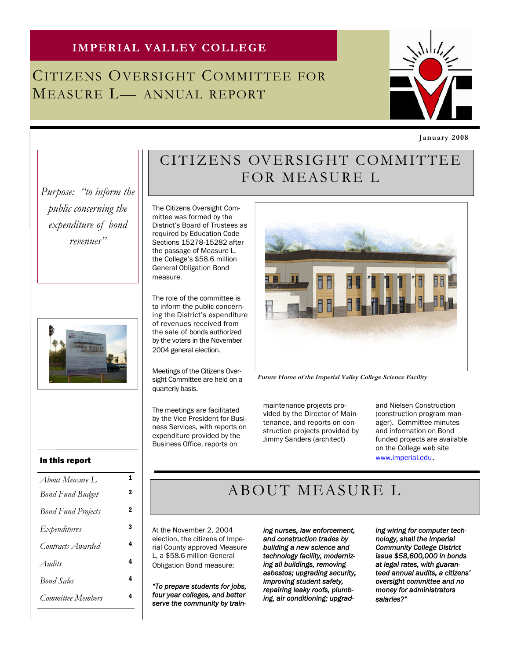### **IMPERIAL VALLEY COLLEGE**

## CITIZENS OVERSIGHT COMMITTEE FOR MEASURE L— ANNUAL REPORT



**January 2008**

### CITIZENS OVERSIGHT COMMITTEE FOR MEASURE L

*Purpose: "to inform the public concerning the expenditure of bond revenues"*



The Citizens Oversight Committee was formed by the District's Board of Trustees as required by Education Code Sections 15278-15282 after the passage of Measure L, the College's \$58.6 million General Obligation Bond measure.

The role of the committee is to inform the public concerning the District's expenditure of revenues received from the sale of bonds authorized by the voters in the November 2004 general election.

Meetings of the Citizens Oversight Committee are held on a quarterly basis.

The meetings are facilitated by the Vice President for Business Services, with reports on expenditure provided by the Business Office, reports on



**Future Home of the Imperial Valley College Science Facility**

maintenance projects provided by the Director of Maintenance, and reports on construction projects provided by Jimmy Sanders (architect)

and Nielsen Construction (construction program manager). Committee minutes and information on Bond funded projects are available on the College web site

www.imperial.edu.

#### In this report

| About Measure L           | 1              |
|---------------------------|----------------|
| <b>Bond Fund Budget</b>   | $\overline{2}$ |
| <b>Bond Fund Projects</b> | 2              |
| <i>Expenditures</i>       | 3              |
| Contracts Awarded         | 4              |
| Audits                    | 4              |
| <b>Bond Sales</b>         | 4              |
| Committee Members         | 4              |

### ABOUT MEASURE L

At the November 2, 2004 election, the citizens of Imperial County approved Measure L, a \$58.6 million General Obligation Bond measure:

*"To prepare students for jobs, four year colleges, and better serve the community by train-* *ing nurses, law enforcement, and construction trades by building a new science and technology facility, modernizing all buildings, removing asbestos; upgrading security, improving student safety, repairing leaky roofs, plumbing, air conditioning; upgrad-* *ing wiring for computer technology, shall the Imperial Community College District issue \$58,600,000 in bonds at legal rates, with guaranteed annual audits, a citizens' oversight committee and no money for administrators salaries?"*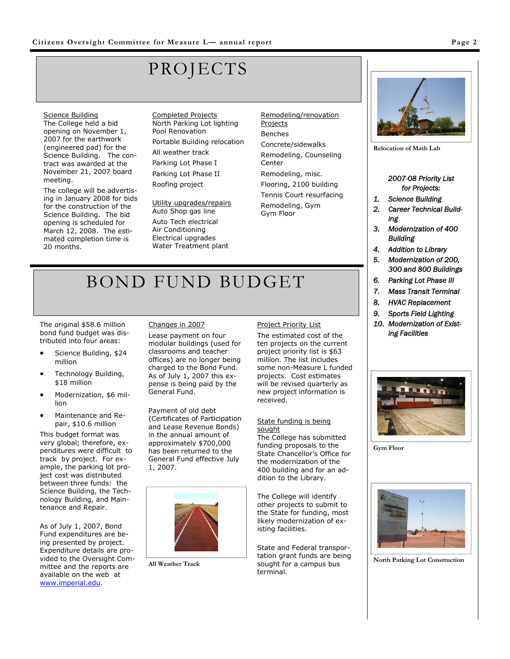# PROJECTS

#### Science Building

The College held a bid opening on November 1, 2007 for the earthwork (engineered pad) for the Science Building. The contract was awarded at the November 21, 2007 board meeting.

The college will be advertising in January 2008 for bids for the construction of the Science Building. The bid opening is scheduled for March 12, 2008. The estimated completion time is 20 months.

Completed Projects North Parking Lot lighting Pool Renovation Portable Building relocation All weather track Parking Lot Phase I Parking Lot Phase II Roofing project

Utility upgrades/repairs Auto Shop gas line Auto Tech electrical Air Conditioning Electrical upgrades Water Treatment plant

Remodeling/renovation Projects Benches Concrete/sidewalks Remodeling, Counseling Center Remodeling, misc. Flooring, 2100 building Tennis Court resurfacing Remodeling, Gym Gym Floor

**Relocation of Math Lab**

#### *2007-08 Priority List for Projects:*

- *1. Science Building*
- *2. Career Technical Building*
- *3. Modernization of 400 Building*
- *4. Addition to Library*
- *5. Modernization of 200, 300 and 800 Buildings*
- *6. Parking Lot Phase III*
- *7. Mass Transit Terminal*
- *8. HVAC Replacement*
- *9. Sports Field Lighting*
- *10. Modernization of Existing Facilities*



**Gym Floor**



**North Parking Lot Construction**

# BOND FUND BUDGET

The original \$58.6 million bond fund budget was distributed into four areas:

- Science Building, \$24 million
- Technology Building, \$18 million
- Modernization, \$6 million
- Maintenance and Repair, \$10.6 million

This budget format was very global; therefore, expenditures were difficult to track by project. For example, the parking lot project cost was distributed between three funds: the Science Building, the Technology Building, and Maintenance and Repair.

As of July 1, 2007, Bond Fund expenditures are being presented by project. Expenditure details are provided to the Oversight Committee and the reports are available on the web at www.imperial.edu.

### Changes in 2007

Lease payment on four modular buildings (used for classrooms and teacher offices) are no longer being charged to the Bond Fund. As of July 1, 2007 this expense is being paid by the General Fund.

Payment of old debt (Certificates of Participation and Lease Revenue Bonds) in the annual amount of approximately \$700,000 has been returned to the General Fund effective July 1, 2007.



**All Weather Track**

### Project Priority List

The estimated cost of the ten projects on the current project priority list is \$63 million. The list includes some non-Measure L funded projects. Cost estimates will be revised quarterly as new project information is received.

#### State funding is being **sought**

The College has submitted funding proposals to the State Chancellor's Office for the modernization of the 400 building and for an addition to the Library.

The College will identify other projects to submit to the State for funding, most likely modernization of existing facilities.

State and Federal transportation grant funds are being sought for a campus bus terminal.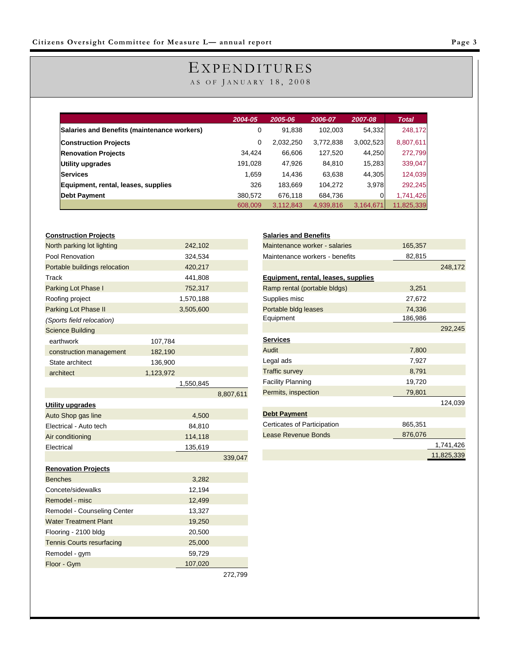### EXPENDITURES

AS OF JANUARY 18, 2008

|                                             | 2004-05 | 2005-06   | 2006-07   | 2007-08   | <b>Total</b> |
|---------------------------------------------|---------|-----------|-----------|-----------|--------------|
| Salaries and Benefits (maintenance workers) | 0       | 91,838    | 102,003   | 54,332    | 248,172      |
| <b>Construction Projects</b>                | 0       | 2,032,250 | 3,772,838 | 3,002,523 | 8,807,611    |
| <b>Renovation Projects</b>                  | 34.424  | 66,606    | 127,520   | 44,250    | 272,799      |
| Utility upgrades                            | 191,028 | 47,926    | 84,810    | 15,283    | 339,047      |
| <b>Services</b>                             | 1,659   | 14,436    | 63,638    | 44,305    | 124,039      |
| Equipment, rental, leases, supplies         | 326     | 183,669   | 104,272   | 3.978     | 292,245      |
| <b>Debt Payment</b>                         | 380,572 | 676.118   | 684,736   |           | 1,741,426    |
|                                             | 608,009 | 3,112,843 | 4,939,816 | 3,164,671 | 11,825,339   |

| North parking lot lighting<br>242,102<br>Pool Renovation<br>324,534<br>Portable buildings relocation<br>420,217<br>441,808<br>Track<br>Parking Lot Phase I<br>752,317<br>Roofing project<br>1,570,188<br>Parking Lot Phase II<br>3,505,600<br>(Sports field relocation)<br><b>Science Building</b><br>earthwork<br>107,784<br>182,190<br>construction management<br>State architect<br>136,900<br>architect<br>1,123,972<br>1,550,845<br>8,807,611<br><b>Utility upgrades</b><br>Auto Shop gas line<br>4,500<br>Electrical - Auto tech<br>84,810<br>Air conditioning<br>114,118<br>Electrical<br>135,619<br>339,047<br><b>Renovation Projects</b><br><b>Benches</b><br>3,282<br>Concete/sidewalks<br>12,194<br>Remodel - misc<br>12,499<br>Remodel - Counseling Center<br>13,327<br><b>Water Treatment Plant</b><br>19,250<br>Flooring - 2100 bldg<br>20,500<br>25,000<br><b>Tennis Courts resurfacing</b><br>59,729<br>Remodel - gym<br>Floor - Gym<br>107,020 |  |  |
|-----------------------------------------------------------------------------------------------------------------------------------------------------------------------------------------------------------------------------------------------------------------------------------------------------------------------------------------------------------------------------------------------------------------------------------------------------------------------------------------------------------------------------------------------------------------------------------------------------------------------------------------------------------------------------------------------------------------------------------------------------------------------------------------------------------------------------------------------------------------------------------------------------------------------------------------------------------------|--|--|
|                                                                                                                                                                                                                                                                                                                                                                                                                                                                                                                                                                                                                                                                                                                                                                                                                                                                                                                                                                 |  |  |
|                                                                                                                                                                                                                                                                                                                                                                                                                                                                                                                                                                                                                                                                                                                                                                                                                                                                                                                                                                 |  |  |
|                                                                                                                                                                                                                                                                                                                                                                                                                                                                                                                                                                                                                                                                                                                                                                                                                                                                                                                                                                 |  |  |
|                                                                                                                                                                                                                                                                                                                                                                                                                                                                                                                                                                                                                                                                                                                                                                                                                                                                                                                                                                 |  |  |
|                                                                                                                                                                                                                                                                                                                                                                                                                                                                                                                                                                                                                                                                                                                                                                                                                                                                                                                                                                 |  |  |
|                                                                                                                                                                                                                                                                                                                                                                                                                                                                                                                                                                                                                                                                                                                                                                                                                                                                                                                                                                 |  |  |
|                                                                                                                                                                                                                                                                                                                                                                                                                                                                                                                                                                                                                                                                                                                                                                                                                                                                                                                                                                 |  |  |
|                                                                                                                                                                                                                                                                                                                                                                                                                                                                                                                                                                                                                                                                                                                                                                                                                                                                                                                                                                 |  |  |
|                                                                                                                                                                                                                                                                                                                                                                                                                                                                                                                                                                                                                                                                                                                                                                                                                                                                                                                                                                 |  |  |
|                                                                                                                                                                                                                                                                                                                                                                                                                                                                                                                                                                                                                                                                                                                                                                                                                                                                                                                                                                 |  |  |
|                                                                                                                                                                                                                                                                                                                                                                                                                                                                                                                                                                                                                                                                                                                                                                                                                                                                                                                                                                 |  |  |
|                                                                                                                                                                                                                                                                                                                                                                                                                                                                                                                                                                                                                                                                                                                                                                                                                                                                                                                                                                 |  |  |
|                                                                                                                                                                                                                                                                                                                                                                                                                                                                                                                                                                                                                                                                                                                                                                                                                                                                                                                                                                 |  |  |
|                                                                                                                                                                                                                                                                                                                                                                                                                                                                                                                                                                                                                                                                                                                                                                                                                                                                                                                                                                 |  |  |
|                                                                                                                                                                                                                                                                                                                                                                                                                                                                                                                                                                                                                                                                                                                                                                                                                                                                                                                                                                 |  |  |
|                                                                                                                                                                                                                                                                                                                                                                                                                                                                                                                                                                                                                                                                                                                                                                                                                                                                                                                                                                 |  |  |
|                                                                                                                                                                                                                                                                                                                                                                                                                                                                                                                                                                                                                                                                                                                                                                                                                                                                                                                                                                 |  |  |
|                                                                                                                                                                                                                                                                                                                                                                                                                                                                                                                                                                                                                                                                                                                                                                                                                                                                                                                                                                 |  |  |
|                                                                                                                                                                                                                                                                                                                                                                                                                                                                                                                                                                                                                                                                                                                                                                                                                                                                                                                                                                 |  |  |
|                                                                                                                                                                                                                                                                                                                                                                                                                                                                                                                                                                                                                                                                                                                                                                                                                                                                                                                                                                 |  |  |
|                                                                                                                                                                                                                                                                                                                                                                                                                                                                                                                                                                                                                                                                                                                                                                                                                                                                                                                                                                 |  |  |
|                                                                                                                                                                                                                                                                                                                                                                                                                                                                                                                                                                                                                                                                                                                                                                                                                                                                                                                                                                 |  |  |
|                                                                                                                                                                                                                                                                                                                                                                                                                                                                                                                                                                                                                                                                                                                                                                                                                                                                                                                                                                 |  |  |
|                                                                                                                                                                                                                                                                                                                                                                                                                                                                                                                                                                                                                                                                                                                                                                                                                                                                                                                                                                 |  |  |
|                                                                                                                                                                                                                                                                                                                                                                                                                                                                                                                                                                                                                                                                                                                                                                                                                                                                                                                                                                 |  |  |
|                                                                                                                                                                                                                                                                                                                                                                                                                                                                                                                                                                                                                                                                                                                                                                                                                                                                                                                                                                 |  |  |
|                                                                                                                                                                                                                                                                                                                                                                                                                                                                                                                                                                                                                                                                                                                                                                                                                                                                                                                                                                 |  |  |
|                                                                                                                                                                                                                                                                                                                                                                                                                                                                                                                                                                                                                                                                                                                                                                                                                                                                                                                                                                 |  |  |
|                                                                                                                                                                                                                                                                                                                                                                                                                                                                                                                                                                                                                                                                                                                                                                                                                                                                                                                                                                 |  |  |
|                                                                                                                                                                                                                                                                                                                                                                                                                                                                                                                                                                                                                                                                                                                                                                                                                                                                                                                                                                 |  |  |
|                                                                                                                                                                                                                                                                                                                                                                                                                                                                                                                                                                                                                                                                                                                                                                                                                                                                                                                                                                 |  |  |

272,799

| <b>Salaries and Benefits</b>        |         |            |
|-------------------------------------|---------|------------|
| Maintenance worker - salaries       | 165,357 |            |
| Maintenance workers - benefits      | 82,815  |            |
|                                     |         | 248,172    |
| Equipment, rental, leases, supplies |         |            |
| Ramp rental (portable bldgs)        | 3,251   |            |
| Supplies misc                       | 27,672  |            |
| Portable bldg leases                | 74,336  |            |
| Equipment                           | 186,986 |            |
|                                     |         | 292,245    |
| <b>Services</b>                     |         |            |
| Audit                               | 7,800   |            |
| Legal ads                           | 7,927   |            |
| <b>Traffic survey</b>               | 8,791   |            |
| <b>Facility Planning</b>            | 19,720  |            |
| Permits, inspection                 | 79,801  |            |
|                                     |         | 124,039    |
| <b>Debt Payment</b>                 |         |            |
| Certicates of Participation         | 865,351 |            |
| Lease Revenue Bonds                 | 876,076 |            |
|                                     |         | 1,741,426  |
|                                     |         | 11.825.339 |